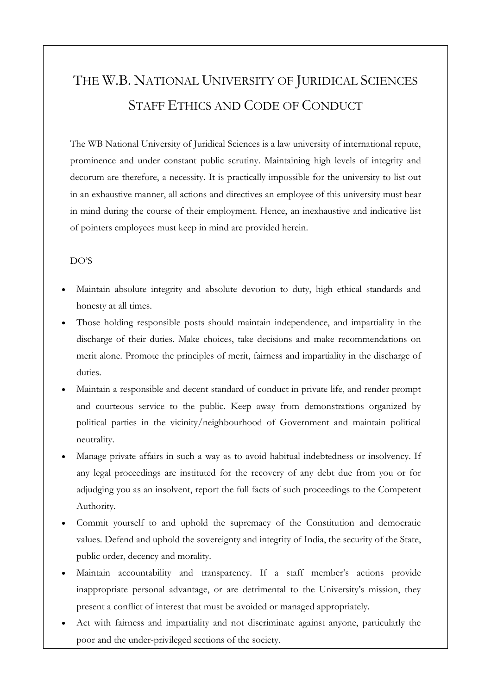## THE W.B. NATIONAL UNIVERSITY OF JURIDICAL SCIENCES STAFF ETHICS AND CODE OF CONDUCT

The WB National University of Juridical Sciences is a law university of international repute, prominence and under constant public scrutiny. Maintaining high levels of integrity and decorum are therefore, a necessity. It is practically impossible for the university to list out in an exhaustive manner, all actions and directives an employee of this university must bear in mind during the course of their employment. Hence, an inexhaustive and indicative list of pointers employees must keep in mind are provided herein.

## DO'S

- Maintain absolute integrity and absolute devotion to duty, high ethical standards and honesty at all times.
- Those holding responsible posts should maintain independence, and impartiality in the discharge of their duties. Make choices, take decisions and make recommendations on merit alone. Promote the principles of merit, fairness and impartiality in the discharge of duties.
- Maintain a responsible and decent standard of conduct in private life, and render prompt and courteous service to the public. Keep away from demonstrations organized by political parties in the vicinity/neighbourhood of Government and maintain political neutrality.
- Manage private affairs in such a way as to avoid habitual indebtedness or insolvency. If any legal proceedings are instituted for the recovery of any debt due from you or for adjudging you as an insolvent, report the full facts of such proceedings to the Competent Authority.
- Commit yourself to and uphold the supremacy of the Constitution and democratic values. Defend and uphold the sovereignty and integrity of India, the security of the State, public order, decency and morality.
- Maintain accountability and transparency. If a staff member's actions provide inappropriate personal advantage, or are detrimental to the University's mission, they present a conflict of interest that must be avoided or managed appropriately.
- Act with fairness and impartiality and not discriminate against anyone, particularly the poor and the under-privileged sections of the society.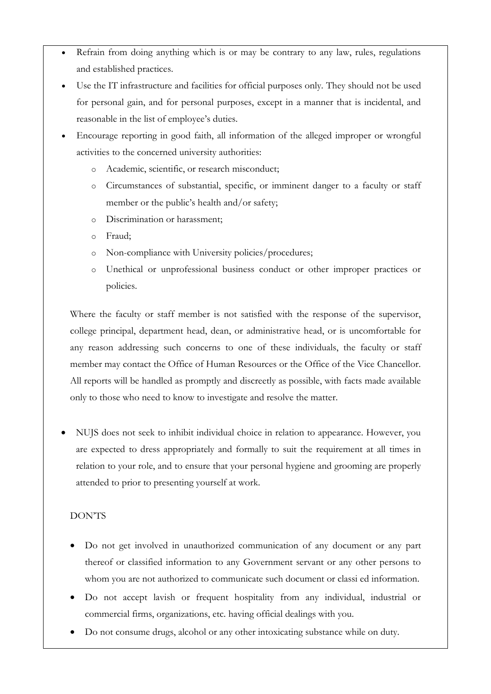- Refrain from doing anything which is or may be contrary to any law, rules, regulations and established practices.
- Use the IT infrastructure and facilities for official purposes only. They should not be used for personal gain, and for personal purposes, except in a manner that is incidental, and reasonable in the list of employee's duties.
- Encourage reporting in good faith, all information of the alleged improper or wrongful activities to the concerned university authorities:
	- o Academic, scientific, or research misconduct;
	- o Circumstances of substantial, specific, or imminent danger to a faculty or staff member or the public's health and/or safety;
	- o Discrimination or harassment;
	- o Fraud;
	- o Non-compliance with University policies/procedures;
	- o Unethical or unprofessional business conduct or other improper practices or policies.

Where the faculty or staff member is not satisfied with the response of the supervisor, college principal, department head, dean, or administrative head, or is uncomfortable for any reason addressing such concerns to one of these individuals, the faculty or staff member may contact the Office of Human Resources or the Office of the Vice Chancellor. All reports will be handled as promptly and discreetly as possible, with facts made available only to those who need to know to investigate and resolve the matter.

 NUJS does not seek to inhibit individual choice in relation to appearance. However, you are expected to dress appropriately and formally to suit the requirement at all times in relation to your role, and to ensure that your personal hygiene and grooming are properly attended to prior to presenting yourself at work.

## DON'TS

- Do not get involved in unauthorized communication of any document or any part thereof or classified information to any Government servant or any other persons to whom you are not authorized to communicate such document or classi ed information.
- Do not accept lavish or frequent hospitality from any individual, industrial or commercial firms, organizations, etc. having official dealings with you.
- Do not consume drugs, alcohol or any other intoxicating substance while on duty.